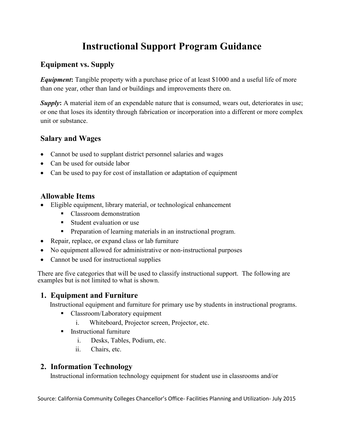# **Instructional Support Program Guidance**

## **Equipment vs. Supply**

*Equipment***:** Tangible property with a purchase price of at least \$1000 and a useful life of more than one year, other than land or buildings and improvements there on.

**Supply:** A material item of an expendable nature that is consumed, wears out, deteriorates in use; or one that loses its identity through fabrication or incorporation into a different or more complex unit or substance.

# **Salary and Wages**

- Cannot be used to supplant district personnel salaries and wages
- Can be used for outside labor
- Can be used to pay for cost of installation or adaptation of equipment

## **Allowable Items**

- Eligible equipment, library material, or technological enhancement
	- Classroom demonstration
	- **Student evaluation or use**
	- **Preparation of learning materials in an instructional program.**
- Repair, replace, or expand class or lab furniture
- No equipment allowed for administrative or non-instructional purposes
- Cannot be used for instructional supplies

There are five categories that will be used to classify instructional support. The following are examples but is not limited to what is shown.

# **1. Equipment and Furniture**

Instructional equipment and furniture for primary use by students in instructional programs.

- Classroom/Laboratory equipment
	- i. Whiteboard, Projector screen, Projector, etc.
- $\blacksquare$  Instructional furniture
	- i. Desks, Tables, Podium, etc.
	- ii. Chairs, etc.

## **2. Information Technology**

Instructional information technology equipment for student use in classrooms and/or

Source: California Community Colleges Chancellor's Office- Facilities Planning and Utilization- July 2015